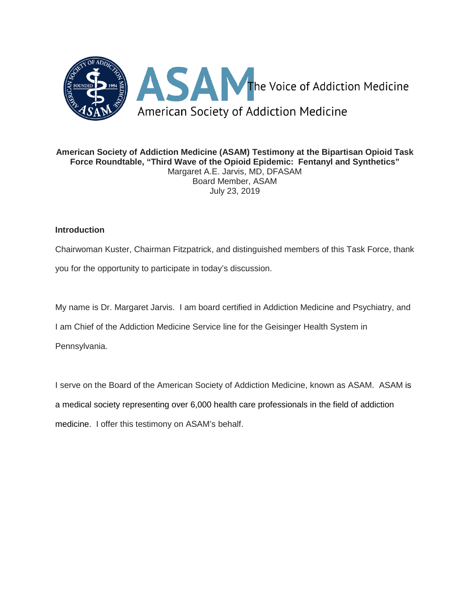

**American Society of Addiction Medicine (ASAM) Testimony at the Bipartisan Opioid Task Force Roundtable, "Third Wave of the Opioid Epidemic: Fentanyl and Synthetics"** Margaret A.E. Jarvis, MD, DFASAM Board Member, ASAM July 23, 2019

# **Introduction**

Chairwoman Kuster, Chairman Fitzpatrick, and distinguished members of this Task Force, thank

you for the opportunity to participate in today's discussion.

My name is Dr. Margaret Jarvis. I am board certified in Addiction Medicine and Psychiatry, and

I am Chief of the Addiction Medicine Service line for the Geisinger Health System in

Pennsylvania.

I serve on the Board of the American Society of Addiction Medicine, known as ASAM. ASAM is a medical society representing over 6,000 health care professionals in the field of addiction medicine. I offer this testimony on ASAM's behalf.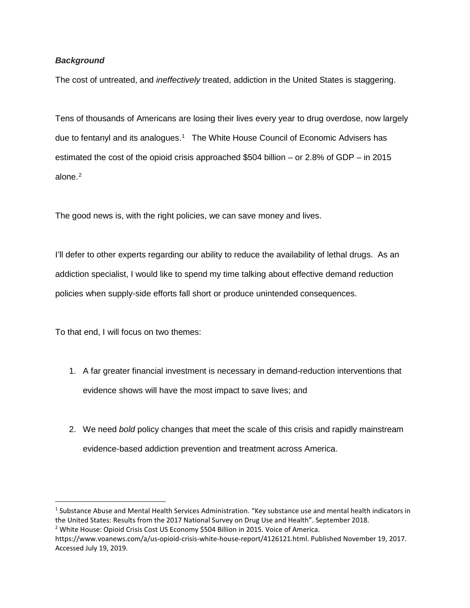# *Background*

The cost of untreated, and *ineffectively* treated, addiction in the United States is staggering.

Tens of thousands of Americans are losing their lives every year to drug overdose, now largely due to fentanyl and its analogues.<sup>[1](#page-1-0)</sup> The White House Council of Economic Advisers has estimated the cost of the opioid crisis approached \$504 billion – or 2.8% of GDP – in 2015 alone. [2](#page-1-1)

The good news is, with the right policies, we can save money and lives.

I'll defer to other experts regarding our ability to reduce the availability of lethal drugs. As an addiction specialist, I would like to spend my time talking about effective demand reduction policies when supply-side efforts fall short or produce unintended consequences.

To that end, I will focus on two themes:

- 1. A far greater financial investment is necessary in demand-reduction interventions that evidence shows will have the most impact to save lives; and
- 2. We need *bold* policy changes that meet the scale of this crisis and rapidly mainstream evidence-based addiction prevention and treatment across America.

<span id="page-1-0"></span> $1$  Substance Abuse and Mental Health Services Administration. "Key substance use and mental health indicators in the United States: Results from the 2017 National Survey on Drug Use and Health". September 2018. <sup>2</sup> White House: Opioid Crisis Cost US Economy \$504 Billion in 2015. Voice of America.

<span id="page-1-1"></span>https://www.voanews.com/a/us-opioid-crisis-white-house-report/4126121.html. Published November 19, 2017. Accessed July 19, 2019.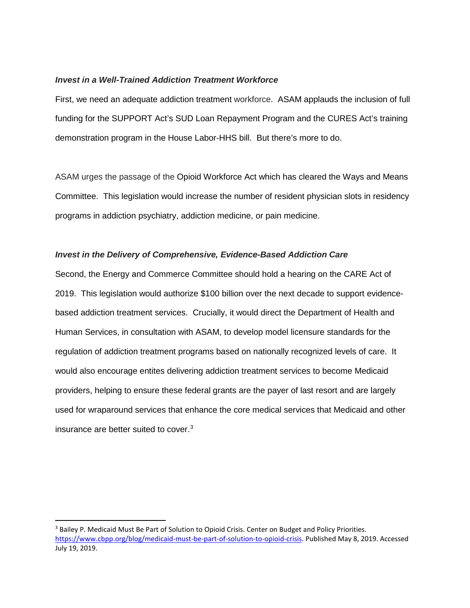### *Invest in a Well-Trained Addiction Treatment Workforce*

First, we need an adequate addiction treatment workforce. ASAM applauds the inclusion of full funding for the SUPPORT Act's SUD Loan Repayment Program and the CURES Act's training demonstration program in the House Labor-HHS bill. But there's more to do.

ASAM urges the passage of the Opioid Workforce Act which has cleared the Ways and Means Committee. This legislation would increase the number of resident physician slots in residency programs in addiction psychiatry, addiction medicine, or pain medicine.

### *Invest in the Delivery of Comprehensive, Evidence-Based Addiction Care*

Second, the Energy and Commerce Committee should hold a hearing on the CARE Act of 2019. This legislation would authorize \$100 billion over the next decade to support evidencebased addiction treatment services. Crucially, it would direct the Department of Health and Human Services, in consultation with ASAM, to develop model licensure standards for the regulation of addiction treatment programs based on nationally recognized levels of care. It would also encourage entites delivering addiction treatment services to become Medicaid providers, helping to ensure these federal grants are the payer of last resort and are largely used for wraparound services that enhance the core medical services that Medicaid and other insurance are better suited to cover. [3](#page-2-0)

<span id="page-2-0"></span><sup>&</sup>lt;sup>3</sup> Bailey P. Medicaid Must Be Part of Solution to Opioid Crisis. Center on Budget and Policy Priorities. [https://www.cbpp.org/blog/medicaid-must-be-part-of-solution-to-opioid-crisis.](https://www.cbpp.org/blog/medicaid-must-be-part-of-solution-to-opioid-crisis) Published May 8, 2019. Accessed July 19, 2019.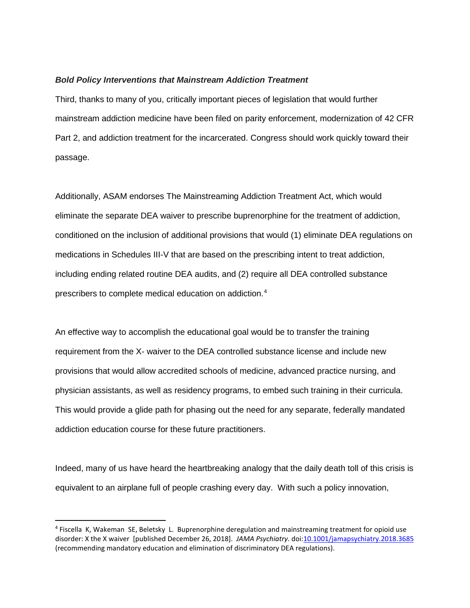#### *Bold Policy Interventions that Mainstream Addiction Treatment*

Third, thanks to many of you, critically important pieces of legislation that would further mainstream addiction medicine have been filed on parity enforcement, modernization of 42 CFR Part 2, and addiction treatment for the incarcerated. Congress should work quickly toward their passage.

Additionally, ASAM endorses The Mainstreaming Addiction Treatment Act, which would eliminate the separate DEA waiver to prescribe buprenorphine for the treatment of addiction, conditioned on the inclusion of additional provisions that would (1) eliminate DEA regulations on medications in Schedules III-V that are based on the prescribing intent to treat addiction, including ending related routine DEA audits, and (2) require all DEA controlled substance prescribers to complete medical education on addiction. [4](#page-3-0)

An effective way to accomplish the educational goal would be to transfer the training requirement from the X- waiver to the DEA controlled substance license and include new provisions that would allow accredited schools of medicine, advanced practice nursing, and physician assistants, as well as residency programs, to embed such training in their curricula. This would provide a glide path for phasing out the need for any separate, federally mandated addiction education course for these future practitioners.

Indeed, many of us have heard the heartbreaking analogy that the daily death toll of this crisis is equivalent to an airplane full of people crashing every day. With such a policy innovation,

<span id="page-3-0"></span> <sup>4</sup> Fiscella K, Wakeman SE, Beletsky L. Buprenorphine deregulation and mainstreaming treatment for opioid use disorder: X the X waiver [published December 26, 2018]. *JAMA Psychiatry*. doi[:10.1001/jamapsychiatry.2018.3685](http://jamanetwork.com/article.aspx?doi=10.1001/jamapsychiatry.2018.3685) (recommending mandatory education and elimination of discriminatory DEA regulations).